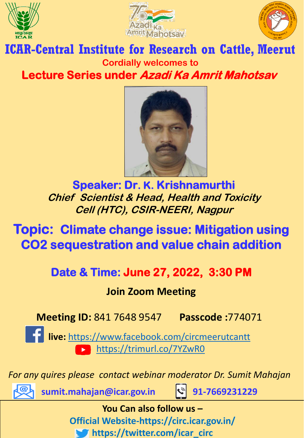





## **ICAR-Central Institute for Research on Cattle, Meerut Cordially welcomes to Lecture Series under Azadi Ka Amrit Mahotsav**



**Speaker: Dr. K. Krishnamurthi Chief Scientist & Head, Health and Toxicity Cell (HTC), CSIR-NEERI, Nagpur**

**Topic: Climate change issue: Mitigation using CO2 sequestration and value chain addition**

**Date & Time: June 27, 2022, 3:30 PM** 

## **Join Zoom Meeting**

**Meeting ID:** 841 7648 9547 **Passcode :**774071

**live:** <https://www.facebook.com/circmeerutcantt> <https://trimurl.co/7YZwR0>

*For any quires please contact webinar moderator Dr. Sumit Mahajan* 



**sumit.mahajan@icar.gov.in + 91-7669231229**

**You Can also follow us – Official Website-https://circ.icar.gov.in/ https://twitter.com/icar\_circ**